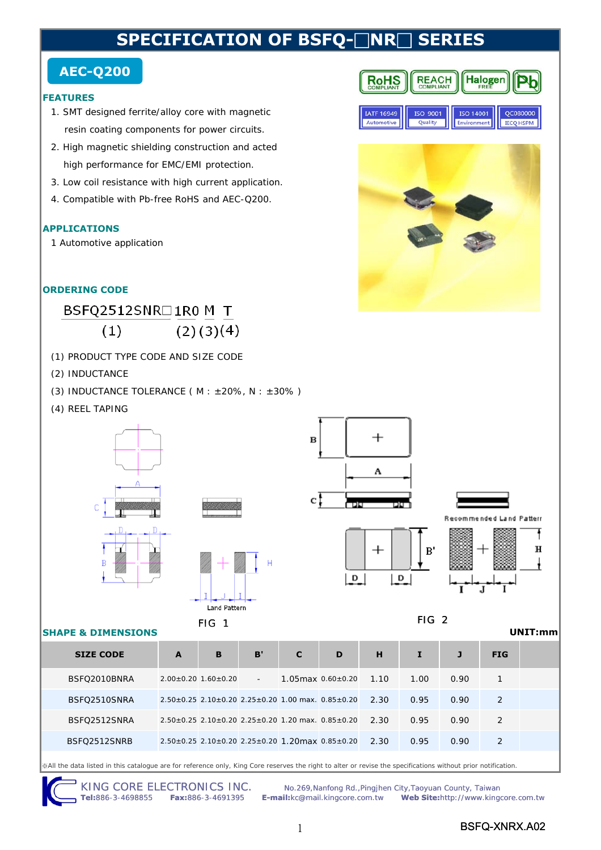# **SPECIFICATION OF BSFO-□NR□ SER**

### **AEC-Q200**

#### **FEATURES**

- 1. SMT designed ferrite/alloy core with magnetic resin coating components for power circuits.
- 2. High magnetic shielding construction and acted high performance for EMC/EMI protection.
- 3. Low coil resistance with high current application.
- 4. Compatible with Pb-free RoHS and AEC-Q200.

#### **APPLICATIONS**

1 Automotive application

#### **ORDERING CODE**

#### BSFQ2512SNR□1R0 M T  $(2)(3)(4)$  $(1)$

- (1) PRODUCT TYPE CODE AND SIZE CODE
- (2) INDUCTANCE
- (3) INDUCTANCE TOLERANCE ( $M : ±20\%$ ,  $N : ±30\%$ )
- (4) REEL TAPING



※All the data listed in this catalogue are for reference only, King Core reserves the right to alter or revise the specifications without prior notification.

KING CORE ELECTRONICS INC. No.269, Nanfong Rd., Pingjhen City, Taoyuan County, Taiwan<br>Tel:886-3-4698855 Fax:886-3-4691395 E-mail:kc@mail.kingcore.com.tw Web Site:http://www.king **Tel:**886-3-4698855 **Fax:**886-3-4691395 **E-mail:**kc@mail.kingcore.com.tw **Web Site:**http://www.kingcore.com.tw

|            | 150 900 I | 150 1400 I | -vouuur          |
|------------|-----------|------------|------------------|
| Automotive | Ouglity   |            | <b>IECO HSPM</b> |
|            |           |            |                  |
|            |           |            |                  |
|            |           |            |                  |
|            |           |            |                  |
|            |           |            |                  |

**Halogen** 

— Tr

**REACH** 

**RoHS** 

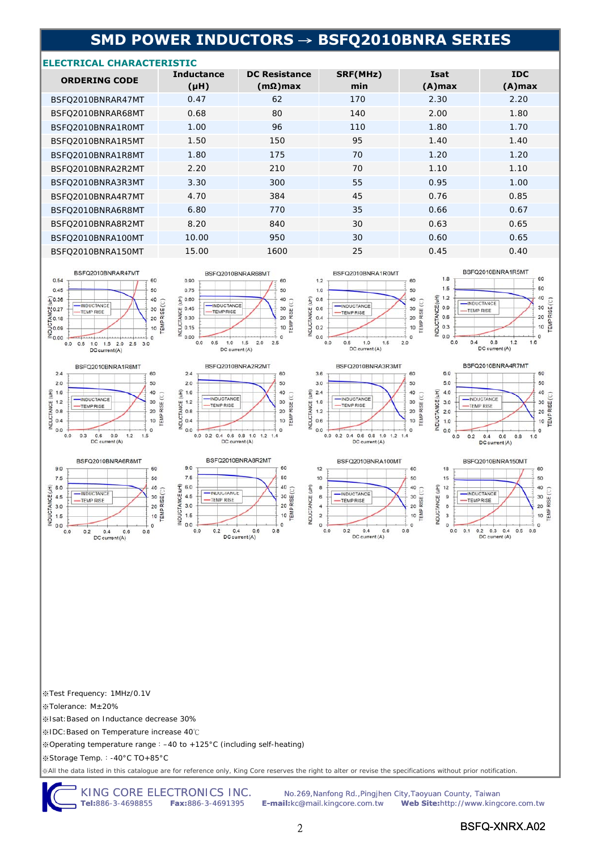## **SMD POWER INDUCTORS** → **BSFQ2010BNRA SERIES**

#### **ELECTRICAL CHARACTERISTIC**

| <b>ORDERING CODE</b> | <b>Inductance</b><br>$(\mu H)$ | <b>DC Resistance</b><br>$(m\Omega)$ max | SRF(MHz)<br>min | <b>Isat</b><br>$(A)$ max | <b>IDC</b><br>$(A)$ max |
|----------------------|--------------------------------|-----------------------------------------|-----------------|--------------------------|-------------------------|
| BSFO2010BNRAR47MT    | 0.47                           | 62                                      | 170             | 2.30                     | 2.20                    |
| BSFO2010BNRAR68MT    | 0.68                           | 80                                      | 140             | 2.00                     | 1.80                    |
| BSFO2010BNRA1ROMT    | 1.00                           | 96                                      | 110             | 1.80                     | 1.70                    |
| BSFO2010BNRA1R5MT    | 1.50                           | 150                                     | 95              | 1.40                     | 1.40                    |
| BSFO2010BNRA1R8MT    | 1.80                           | 175                                     | 70              | 1.20                     | 1.20                    |
| BSFO2010BNRA2R2MT    | 2.20                           | 210                                     | 70              | 1.10                     | 1.10                    |
| BSFO2010BNRA3R3MT    | 3.30                           | 300                                     | 55              | 0.95                     | 1.00                    |
| BSFO2010BNRA4R7MT    | 4.70                           | 384                                     | 45              | 0.76                     | 0.85                    |
| BSFO2010BNRA6R8MT    | 6.80                           | 770                                     | 35              | 0.66                     | 0.67                    |
| BSFO2010BNRA8R2MT    | 8.20                           | 840                                     | 30              | 0.63                     | 0.65                    |
| BSFQ2010BNRA100MT    | 10.00                          | 950                                     | 30              | 0.60                     | 0.65                    |
| BSFO2010BNRA150MT    | 15.00                          | 1600                                    | 25              | 0.45                     | 0.40                    |









BSFQ2010BNRAR68MT



9.0

 $7.5$ 

6.0

 $4.5$ 

 $3.0$ 

 $1.5$ 

 $0.0$ 

INDUCTANCE (uH)



DC current (A)



BSFQ2010BNRA1R0MT











※Test Frequency: 1MHz/0.1V

※Tolerance: M±20%

※Isat:Based on Inductance decrease 30%

※IDC:Based on Temperature increase 40℃

※Operating temperature range:–40 to +125°C (including self-heating)

※Storage Temp.:-40°C TO+85°C

※All the data listed in this catalogue are for reference only, King Core reserves the right to alter or revise the specifications without prior notification.

KING CORE ELECTRONICS INC. No.269, Nanfong Rd., Pingjhen City, Taoyuan County, Taiwan<br>Tel:886-3-4698855 Fax:886-3-4691395 E-mail:kc@mail.kingcore.com.tw Web Site:http://www.king **Tel:**886-3-4698855 **Fax:**886-3-4691395 **E-mail:**kc@mail.kingcore.com.tw **Web Site:**http://www.kingcore.com.tw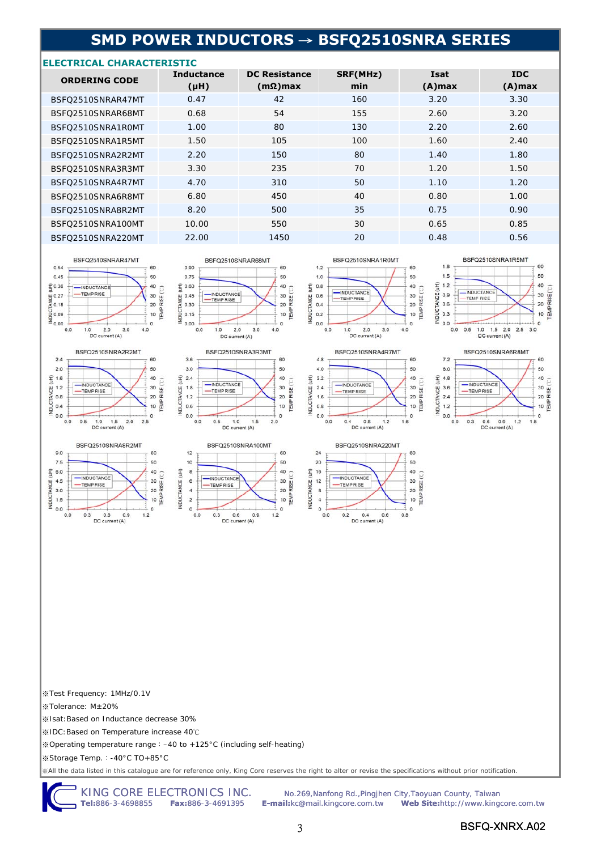## **SMD POWER INDUCTORS** → **BSFQ2510SNRA SERIES**

#### **ELECTRICAL CHARACTERISTIC**

| <b>ORDERING CODE</b> | <b>Inductance</b><br>$(\mu H)$ | <b>DC Resistance</b><br>$(m\Omega)$ max | SRF(MHz)<br>min | Isat<br>$(A)$ max | <b>IDC</b><br>$(A)$ max |
|----------------------|--------------------------------|-----------------------------------------|-----------------|-------------------|-------------------------|
| BSFO2510SNRAR47MT    | 0.47                           | 42                                      | 160             | 3.20              | 3.30                    |
| BSFO2510SNRAR68MT    | 0.68                           | 54                                      | 155             | 2.60              | 3.20                    |
| BSFO2510SNRA1R0MT    | 1.00                           | 80                                      | 130             | 2.20              | 2.60                    |
| BSFO2510SNRA1R5MT    | 1.50                           | 105                                     | 100             | 1.60              | 2.40                    |
| BSFO2510SNRA2R2MT    | 2.20                           | 150                                     | 80              | 1.40              | 1.80                    |
| BSFO2510SNRA3R3MT    | 3.30                           | 235                                     | 70              | 1.20              | 1.50                    |
| BSFO2510SNRA4R7MT    | 4.70                           | 310                                     | 50              | 1.10              | 1.20                    |
| BSFO2510SNRA6R8MT    | 6.80                           | 450                                     | 40              | 0.80              | 1.00                    |
| BSFO2510SNRA8R2MT    | 8.20                           | 500                                     | 35              | 0.75              | 0.90                    |
| BSFO2510SNRA100MT    | 10.00                          | 550                                     | 30              | 0.65              | 0.85                    |
| BSFO2510SNRA220MT    | 22.00                          | 1450                                    | 20              | 0.48              | 0.56                    |

60

50





BSFQ2510SNRA8R2MT

 $0.6$  0<br>DC current (A)

 $0.9$ 

-INDUCTANCE

-TEMP RISE

60

50

 $40$ 

30

20

 $10$ 

 $\theta$ 

 $1.2$ 

 $EMP$  RISE  $(C)$ 

 $12$ 

 $10$ 

 $\overline{8}$ 

6

 $\overline{4}$ 

 $\overline{a}$ 

 $\overline{0}$ 

 $0.0$  $0.3$ 

INDUCTANCE (uH)

9.0

 $7.5$ 

6.0

 $4,5$ 

 $3.0$ 

 $1.5$ 

 $0.0$ 

 $0.0$  $0.3$ 

NDUCTANCE (uH)



BSFQ2510SNRAR68MT

0.90

0.75











INDUCTANCE (uH)

※Test Frequency: 1MHz/0.1V

※Tolerance: M±20%

※Isat:Based on Inductance decrease 30%

※IDC:Based on Temperature increase 40℃

※Operating temperature range:–40 to +125°C (including self-heating)

※Storage Temp.:-40°C TO+85°C

※All the data listed in this catalogue are for reference only, King Core reserves the right to alter or revise the specifications without prior notification.

KING CORE ELECTRONICS INC. No.269, Nanfong Rd., Pingjhen City, Taoyuan County, Taiwan Tel:886-3-4698855 Fax:886-3-4691395 Femail: kc@mail.kingcore.com.tw Web Site: http://www.king **Tel:**886-3-4698855 **Fax:**886-3-4691395 **E-mail:**kc@mail.kingcore.com.tw **Web Site:**http://www.kingcore.com.tw

3 BSFQ-XNRX.A02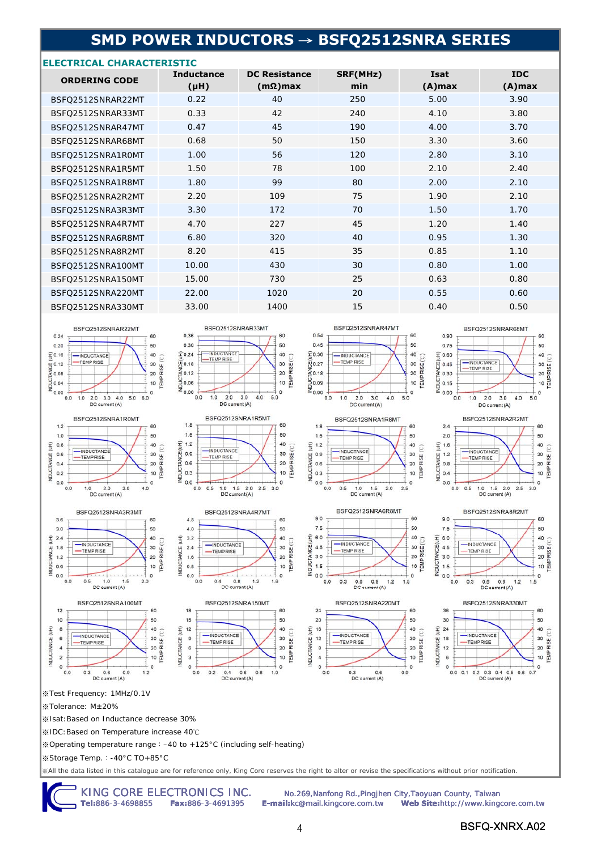### **SMD POWER INDUCTORS** → **BSFQ2512SNRA SERIES**

#### **ELECTRICAL CHARACTERISTIC**

| <b>ORDERING CODE</b> | <b>Inductance</b><br>(Hu) | <b>DC Resistance</b><br>$(m\Omega)$ max | SRF(MHz)<br>min | <b>Isat</b><br>$(A)$ max | <b>IDC</b><br>$(A)$ max |
|----------------------|---------------------------|-----------------------------------------|-----------------|--------------------------|-------------------------|
| BSFO2512SNRAR22MT    | 0.22                      | 40                                      | 250             | 5.00                     | 3.90                    |
| BSFQ2512SNRAR33MT    | 0.33                      | 42                                      | 240             | 4.10                     | 3.80                    |
| BSFO2512SNRAR47MT    | 0.47                      | 45                                      | 190             | 4.00                     | 3.70                    |
| BSFQ2512SNRAR68MT    | 0.68                      | 50                                      | 150             | 3.30                     | 3.60                    |
| BSFO2512SNRA1ROMT    | 1.00                      | 56                                      | 120             | 2.80                     | 3.10                    |
| BSFQ2512SNRA1R5MT    | 1.50                      | 78                                      | 100             | 2.10                     | 2.40                    |
| BSFQ2512SNRA1R8MT    | 1.80                      | 99                                      | 80              | 2.00                     | 2.10                    |
| BSFO2512SNRA2R2MT    | 2.20                      | 109                                     | 75              | 1.90                     | 2.10                    |
| BSFO2512SNRA3R3MT    | 3.30                      | 172                                     | 70              | 1.50                     | 1.70                    |
| BSFO2512SNRA4R7MT    | 4.70                      | 227                                     | 45              | 1.20                     | 1.40                    |
| BSFQ2512SNRA6R8MT    | 6.80                      | 320                                     | 40              | 0.95                     | 1.30                    |
| BSFO2512SNRA8R2MT    | 8.20                      | 415                                     | 35              | 0.85                     | 1.10                    |
| BSFQ2512SNRA100MT    | 10.00                     | 430                                     | 30              | 0.80                     | 1.00                    |
| BSFQ2512SNRA150MT    | 15.00                     | 730                                     | 25              | 0.63                     | 0.80                    |
| BSFQ2512SNRA220MT    | 22.00                     | 1020                                    | 20              | 0.55                     | 0.60                    |
| BSFQ2512SNRA330MT    | 33.00                     | 1400                                    | 15              | 0.40                     | 0.50                    |
|                      |                           |                                         |                 |                          |                         |

















DC current (A)









 $0.6$ 

DC current (A)









※Test Frequency: 1MHz/0.1V

※Tolerance: M±20%

※Isat:Based on Inductance decrease 30%

※IDC:Based on Temperature increase 40℃

※Operating temperature range:–40 to +125°C (including self-heating)

INDUCTANCE (uH)

15

 $12$ 

 $\mathsf{9}$ 

 $\overline{6}$ 

3

 $\theta$ 

INDUCTANCE (uH)

※Storage Temp.:-40°C TO+85°C

※All the data listed in this catalogue are for reference only, King Core reserves the right to alter or revise the specifications without prior notification.

KING CORE ELECTRONICS INC. No.269, Nanfong Rd., Pingjhen City, Taoyuan County, Taiwan<br>Tel:886-3-4698855 Fax:886-3-4691395 E-mail:kc@mail.kingcore.com.tw Web Site:http://www.king **Tel:**886-3-4698855 **Fax:**886-3-4691395 **E-mail:**kc@mail.kingcore.com.tw **Web Site:**http://www.kingcore.com.tw

 $\circ$ 

 $0.9$ 

INDUCTANCE (uH)

 $\circ$ 

 $0.0$ 

 $0.3$